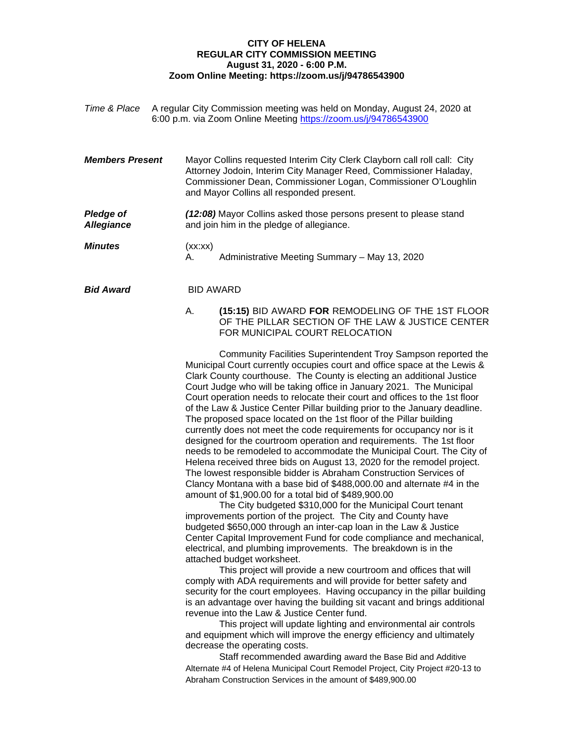## **CITY OF HELENA REGULAR CITY COMMISSION MEETING August 31, 2020 - 6:00 P.M. Zoom Online Meeting: https://zoom.us/j/94786543900**

| Time & Place A regular City Commission meeting was held on Monday, August 24, 2020 at |
|---------------------------------------------------------------------------------------|
| 6:00 p.m. via Zoom Online Meeting https://zoom.us/j/94786543900                       |

- *Members Present* Mayor Collins requested Interim City Clerk Clayborn call roll call: City Attorney Jodoin, Interim City Manager Reed, Commissioner Haladay, Commissioner Dean, Commissioner Logan, Commissioner O'Loughlin and Mayor Collins all responded present.
- **Pledge of** (12:08) Mayor Collins asked those persons present to please stand *Allegiance* and join him in the pledge of allegiance.

*Minutes* (xx:xx) A. Administrative Meeting Summary – May 13, 2020

*Bid Award* BID AWARD

A. **(15:15)** BID AWARD **FOR** REMODELING OF THE 1ST FLOOR OF THE PILLAR SECTION OF THE LAW & JUSTICE CENTER FOR MUNICIPAL COURT RELOCATION

Community Facilities Superintendent Troy Sampson reported the Municipal Court currently occupies court and office space at the Lewis & Clark County courthouse. The County is electing an additional Justice Court Judge who will be taking office in January 2021. The Municipal Court operation needs to relocate their court and offices to the 1st floor of the Law & Justice Center Pillar building prior to the January deadline. The proposed space located on the 1st floor of the Pillar building currently does not meet the code requirements for occupancy nor is it designed for the courtroom operation and requirements. The 1st floor needs to be remodeled to accommodate the Municipal Court. The City of Helena received three bids on August 13, 2020 for the remodel project. The lowest responsible bidder is Abraham Construction Services of Clancy Montana with a base bid of \$488,000.00 and alternate #4 in the amount of \$1,900.00 for a total bid of \$489,900.00

The City budgeted \$310,000 for the Municipal Court tenant improvements portion of the project. The City and County have budgeted \$650,000 through an inter-cap loan in the Law & Justice Center Capital Improvement Fund for code compliance and mechanical, electrical, and plumbing improvements. The breakdown is in the attached budget worksheet.

This project will provide a new courtroom and offices that will comply with ADA requirements and will provide for better safety and security for the court employees. Having occupancy in the pillar building is an advantage over having the building sit vacant and brings additional revenue into the Law & Justice Center fund.

This project will update lighting and environmental air controls and equipment which will improve the energy efficiency and ultimately decrease the operating costs.

Staff recommended awarding award the Base Bid and Additive Alternate #4 of Helena Municipal Court Remodel Project, City Project #20-13 to Abraham Construction Services in the amount of \$489,900.00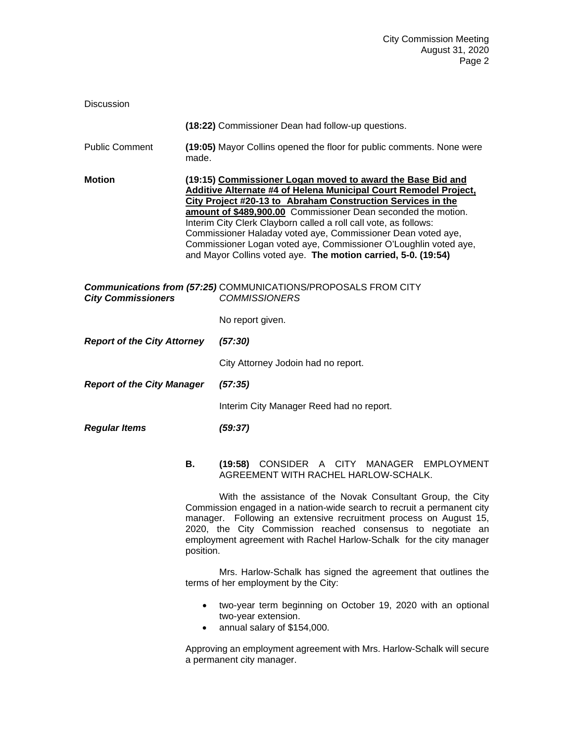| <b>Discussion</b>                                                                                                   |                        |                                                                                                                                                                                                                                                                                                                                                                                                                                                                                                                                         |  |
|---------------------------------------------------------------------------------------------------------------------|------------------------|-----------------------------------------------------------------------------------------------------------------------------------------------------------------------------------------------------------------------------------------------------------------------------------------------------------------------------------------------------------------------------------------------------------------------------------------------------------------------------------------------------------------------------------------|--|
|                                                                                                                     |                        | (18:22) Commissioner Dean had follow-up questions.                                                                                                                                                                                                                                                                                                                                                                                                                                                                                      |  |
| <b>Public Comment</b>                                                                                               | made.                  | (19:05) Mayor Collins opened the floor for public comments. None were                                                                                                                                                                                                                                                                                                                                                                                                                                                                   |  |
| <b>Motion</b>                                                                                                       |                        | (19:15) Commissioner Logan moved to award the Base Bid and<br>Additive Alternate #4 of Helena Municipal Court Remodel Project,<br>City Project #20-13 to Abraham Construction Services in the<br>amount of \$489,900.00 Commissioner Dean seconded the motion.<br>Interim City Clerk Clayborn called a roll call vote, as follows:<br>Commissioner Haladay voted aye, Commissioner Dean voted aye,<br>Commissioner Logan voted aye, Commissioner O'Loughlin voted aye,<br>and Mayor Collins voted aye. The motion carried, 5-0. (19:54) |  |
| Communications from (57:25) COMMUNICATIONS/PROPOSALS FROM CITY<br><b>COMMISSIONERS</b><br><b>City Commissioners</b> |                        |                                                                                                                                                                                                                                                                                                                                                                                                                                                                                                                                         |  |
|                                                                                                                     |                        | No report given.                                                                                                                                                                                                                                                                                                                                                                                                                                                                                                                        |  |
| <b>Report of the City Attorney</b>                                                                                  |                        | (57:30)                                                                                                                                                                                                                                                                                                                                                                                                                                                                                                                                 |  |
|                                                                                                                     |                        | City Attorney Jodoin had no report.                                                                                                                                                                                                                                                                                                                                                                                                                                                                                                     |  |
| <b>Report of the City Manager</b>                                                                                   |                        | (57:35)                                                                                                                                                                                                                                                                                                                                                                                                                                                                                                                                 |  |
|                                                                                                                     |                        | Interim City Manager Reed had no report.                                                                                                                                                                                                                                                                                                                                                                                                                                                                                                |  |
| <b>Regular Items</b>                                                                                                |                        | (59:37)                                                                                                                                                                                                                                                                                                                                                                                                                                                                                                                                 |  |
|                                                                                                                     | В.                     | (19:58) CONSIDER A CITY MANAGER EMPLOYMENT<br>AGREEMENT WITH RACHEL HARLOW-SCHALK.                                                                                                                                                                                                                                                                                                                                                                                                                                                      |  |
|                                                                                                                     | position.              | With the assistance of the Novak Consultant Group, the City<br>Commission engaged in a nation-wide search to recruit a permanent city<br>manager. Following an extensive recruitment process on August 15,<br>2020, the City Commission reached consensus to negotiate an<br>employment agreement with Rachel Harlow-Schalk for the city manager                                                                                                                                                                                        |  |
|                                                                                                                     |                        | Mrs. Harlow-Schalk has signed the agreement that outlines the<br>terms of her employment by the City:                                                                                                                                                                                                                                                                                                                                                                                                                                   |  |
|                                                                                                                     | $\bullet$<br>$\bullet$ | two-year term beginning on October 19, 2020 with an optional<br>two-year extension.<br>annual salary of \$154,000.                                                                                                                                                                                                                                                                                                                                                                                                                      |  |
|                                                                                                                     |                        | Approving an employment agreement with Mrs. Harlow-Schalk will secure<br>a permanent city manager.                                                                                                                                                                                                                                                                                                                                                                                                                                      |  |